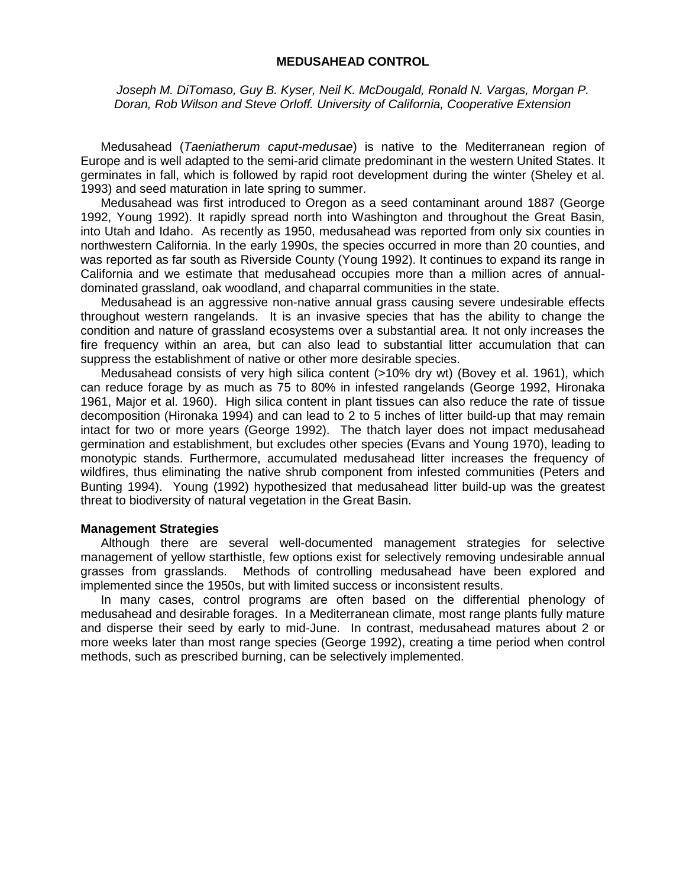# **MEDUSAHEAD CONTROL**

*Joseph M. DiTomaso, Guy B. Kyser, Neil K. McDougald, Ronald N. Vargas, Morgan P. Doran, Rob Wilson and Steve Orloff. University of California, Cooperative Extension*

Medusahead (*Taeniatherum caput-medusae*) is native to the Mediterranean region of Europe and is well adapted to the semi-arid climate predominant in the western United States. It germinates in fall, which is followed by rapid root development during the winter (Sheley et al. 1993) and seed maturation in late spring to summer.

Medusahead was first introduced to Oregon as a seed contaminant around 1887 (George 1992, Young 1992). It rapidly spread north into Washington and throughout the Great Basin, into Utah and Idaho. As recently as 1950, medusahead was reported from only six counties in northwestern California. In the early 1990s, the species occurred in more than 20 counties, and was reported as far south as Riverside County (Young 1992). It continues to expand its range in California and we estimate that medusahead occupies more than a million acres of annualdominated grassland, oak woodland, and chaparral communities in the state.

Medusahead is an aggressive non-native annual grass causing severe undesirable effects throughout western rangelands. It is an invasive species that has the ability to change the condition and nature of grassland ecosystems over a substantial area. It not only increases the fire frequency within an area, but can also lead to substantial litter accumulation that can suppress the establishment of native or other more desirable species.

Medusahead consists of very high silica content (>10% dry wt) (Bovey et al. 1961), which can reduce forage by as much as 75 to 80% in infested rangelands (George 1992, Hironaka 1961, Major et al. 1960). High silica content in plant tissues can also reduce the rate of tissue decomposition (Hironaka 1994) and can lead to 2 to 5 inches of litter build-up that may remain intact for two or more years (George 1992). The thatch layer does not impact medusahead germination and establishment, but excludes other species (Evans and Young 1970), leading to monotypic stands. Furthermore, accumulated medusahead litter increases the frequency of wildfires, thus eliminating the native shrub component from infested communities (Peters and Bunting 1994). Young (1992) hypothesized that medusahead litter build-up was the greatest threat to biodiversity of natural vegetation in the Great Basin.

## **Management Strategies**

Although there are several well-documented management strategies for selective management of yellow starthistle, few options exist for selectively removing undesirable annual grasses from grasslands. Methods of controlling medusahead have been explored and implemented since the 1950s, but with limited success or inconsistent results.

In many cases, control programs are often based on the differential phenology of medusahead and desirable forages. In a Mediterranean climate, most range plants fully mature and disperse their seed by early to mid-June. In contrast, medusahead matures about 2 or more weeks later than most range species (George 1992), creating a time period when control methods, such as prescribed burning, can be selectively implemented.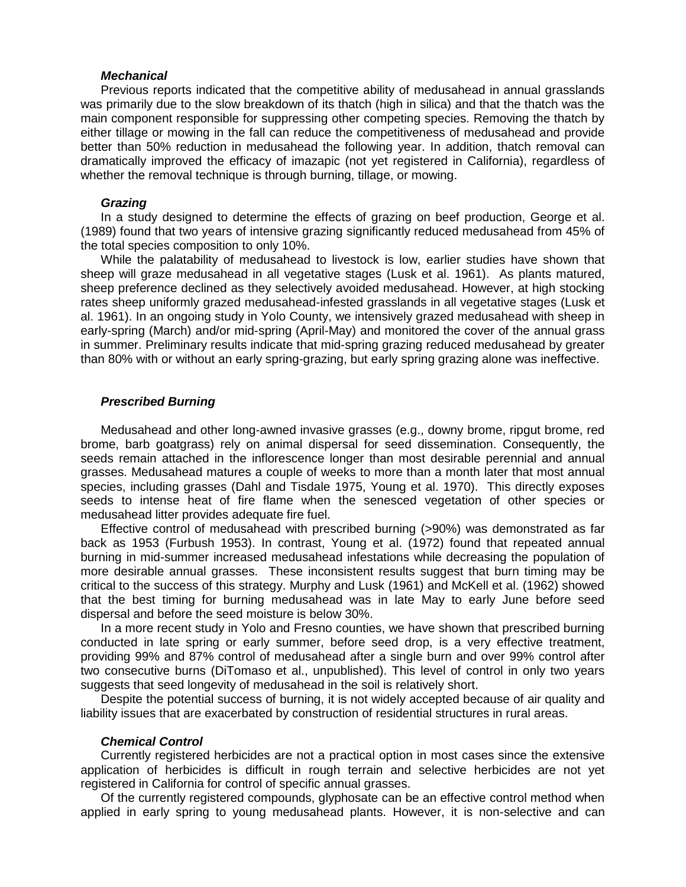#### *Mechanical*

Previous reports indicated that the competitive ability of medusahead in annual grasslands was primarily due to the slow breakdown of its thatch (high in silica) and that the thatch was the main component responsible for suppressing other competing species. Removing the thatch by either tillage or mowing in the fall can reduce the competitiveness of medusahead and provide better than 50% reduction in medusahead the following year. In addition, thatch removal can dramatically improved the efficacy of imazapic (not yet registered in California), regardless of whether the removal technique is through burning, tillage, or mowing.

# *Grazing*

In a study designed to determine the effects of grazing on beef production, George et al. (1989) found that two years of intensive grazing significantly reduced medusahead from 45% of the total species composition to only 10%.

While the palatability of medusahead to livestock is low, earlier studies have shown that sheep will graze medusahead in all vegetative stages (Lusk et al. 1961). As plants matured, sheep preference declined as they selectively avoided medusahead. However, at high stocking rates sheep uniformly grazed medusahead-infested grasslands in all vegetative stages (Lusk et al. 1961). In an ongoing study in Yolo County, we intensively grazed medusahead with sheep in early-spring (March) and/or mid-spring (April-May) and monitored the cover of the annual grass in summer. Preliminary results indicate that mid-spring grazing reduced medusahead by greater than 80% with or without an early spring-grazing, but early spring grazing alone was ineffective.

## *Prescribed Burning*

Medusahead and other long-awned invasive grasses (e.g., downy brome, ripgut brome, red brome, barb goatgrass) rely on animal dispersal for seed dissemination. Consequently, the seeds remain attached in the inflorescence longer than most desirable perennial and annual grasses. Medusahead matures a couple of weeks to more than a month later that most annual species, including grasses (Dahl and Tisdale 1975, Young et al. 1970). This directly exposes seeds to intense heat of fire flame when the senesced vegetation of other species or medusahead litter provides adequate fire fuel.

Effective control of medusahead with prescribed burning (>90%) was demonstrated as far back as 1953 (Furbush 1953). In contrast, Young et al. (1972) found that repeated annual burning in mid-summer increased medusahead infestations while decreasing the population of more desirable annual grasses. These inconsistent results suggest that burn timing may be critical to the success of this strategy. Murphy and Lusk (1961) and McKell et al. (1962) showed that the best timing for burning medusahead was in late May to early June before seed dispersal and before the seed moisture is below 30%.

In a more recent study in Yolo and Fresno counties, we have shown that prescribed burning conducted in late spring or early summer, before seed drop, is a very effective treatment, providing 99% and 87% control of medusahead after a single burn and over 99% control after two consecutive burns (DiTomaso et al., unpublished). This level of control in only two years suggests that seed longevity of medusahead in the soil is relatively short.

Despite the potential success of burning, it is not widely accepted because of air quality and liability issues that are exacerbated by construction of residential structures in rural areas.

#### *Chemical Control*

Currently registered herbicides are not a practical option in most cases since the extensive application of herbicides is difficult in rough terrain and selective herbicides are not yet registered in California for control of specific annual grasses.

Of the currently registered compounds, glyphosate can be an effective control method when applied in early spring to young medusahead plants. However, it is non-selective and can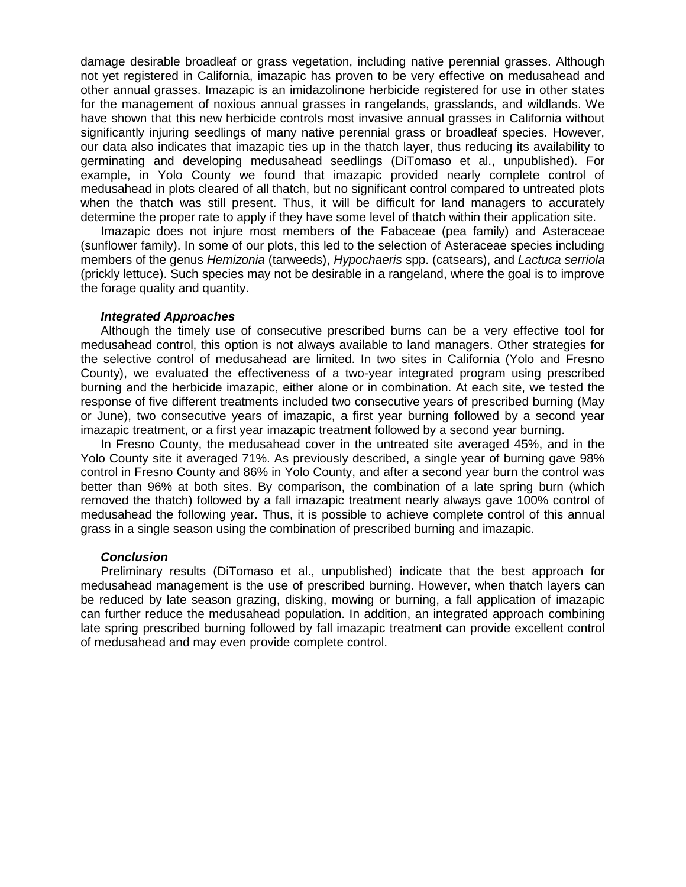damage desirable broadleaf or grass vegetation, including native perennial grasses. Although not yet registered in California, imazapic has proven to be very effective on medusahead and other annual grasses. Imazapic is an imidazolinone herbicide registered for use in other states for the management of noxious annual grasses in rangelands, grasslands, and wildlands. We have shown that this new herbicide controls most invasive annual grasses in California without significantly injuring seedlings of many native perennial grass or broadleaf species. However, our data also indicates that imazapic ties up in the thatch layer, thus reducing its availability to germinating and developing medusahead seedlings (DiTomaso et al., unpublished). For example, in Yolo County we found that imazapic provided nearly complete control of medusahead in plots cleared of all thatch, but no significant control compared to untreated plots when the thatch was still present. Thus, it will be difficult for land managers to accurately determine the proper rate to apply if they have some level of thatch within their application site.

Imazapic does not injure most members of the Fabaceae (pea family) and Asteraceae (sunflower family). In some of our plots, this led to the selection of Asteraceae species including members of the genus *Hemizonia* (tarweeds), *Hypochaeris* spp. (catsears), and *Lactuca serriola* (prickly lettuce). Such species may not be desirable in a rangeland, where the goal is to improve the forage quality and quantity.

### *Integrated Approaches*

Although the timely use of consecutive prescribed burns can be a very effective tool for medusahead control, this option is not always available to land managers. Other strategies for the selective control of medusahead are limited. In two sites in California (Yolo and Fresno County), we evaluated the effectiveness of a two-year integrated program using prescribed burning and the herbicide imazapic, either alone or in combination. At each site, we tested the response of five different treatments included two consecutive years of prescribed burning (May or June), two consecutive years of imazapic, a first year burning followed by a second year imazapic treatment, or a first year imazapic treatment followed by a second year burning.

In Fresno County, the medusahead cover in the untreated site averaged 45%, and in the Yolo County site it averaged 71%. As previously described, a single year of burning gave 98% control in Fresno County and 86% in Yolo County, and after a second year burn the control was better than 96% at both sites. By comparison, the combination of a late spring burn (which removed the thatch) followed by a fall imazapic treatment nearly always gave 100% control of medusahead the following year. Thus, it is possible to achieve complete control of this annual grass in a single season using the combination of prescribed burning and imazapic.

### *Conclusion*

Preliminary results (DiTomaso et al., unpublished) indicate that the best approach for medusahead management is the use of prescribed burning. However, when thatch layers can be reduced by late season grazing, disking, mowing or burning, a fall application of imazapic can further reduce the medusahead population. In addition, an integrated approach combining late spring prescribed burning followed by fall imazapic treatment can provide excellent control of medusahead and may even provide complete control.